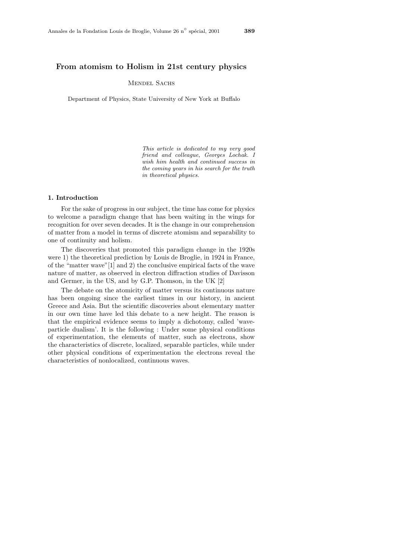## **From atomism to Holism in 21st century physics**

# MENDEL SACHS

Department of Physics, State University of New York at Buffalo

*This article is dedicated to my very good friend and colleague, Georges Lochak. I wish him health and continued success in the coming years in his search for the truth in theoretical physics.*

### **1. Introduction**

For the sake of progress in our subject, the time has come for physics to welcome a paradigm change that has been waiting in the wings for recognition for over seven decades. It is the change in our comprehension of matter from a model in terms of discrete atomism and separability to one of continuity and holism.

The discoveries that promoted this paradigm change in the 1920s were 1) the theoretical prediction by Louis de Broglie, in 1924 in France, of the "matter wave"[1] and 2) the conclusive empirical facts of the wave nature of matter, as observed in electron diffraction studies of Davisson and Germer, in the US, and by G.P. Thomson, in the UK [2]

The debate on the atomicity of matter versus its continuous nature has been ongoing since the earliest times in our history, in ancient Greece and Asia. But the scientific discoveries about elementary matter in our own time have led this debate to a new height. The reason is that the empirical evidence seems to imply a dichotomy, called 'waveparticle dualism'. It is the following : Under some physical conditions of experimentation, the elements of matter, such as electrons, show the characteristics of discrete, localized, separable particles, while under other physical conditions of experimentation the electrons reveal the characteristics of nonlocalized, continuous waves.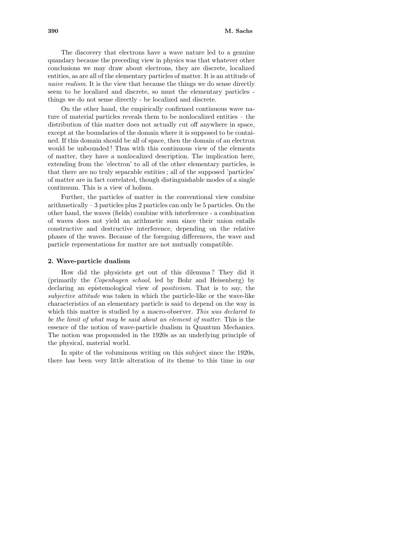The discovery that electrons have a wave nature led to a genuine quandary because the preceding view in physics was that whatever other conclusions we may draw about electrons, they are discrete, localized entities, as are all of the elementary particles of matter. It is an attitude of naive realism. It is the view that because the things we do sense directly seem to be localized and discrete, so must the elementary particles things we do not sense directly - be localized and discrete.

On the other hand, the empirically confirmed continuous wave nature of material particles reveals them to be nonlocalized entities – the distribution of this matter does not actually cut off anywhere in space, except at the boundaries of the domain where it is supposed to be contained. If this domain should be all of space, then the domain of an electron would be unbounded ! Thus with this continuous view of the elements of matter, they have a nonlocalized description. The implication here, extending from the 'electron' to all of the other elementary particles, is that there are no truly separable entities ; all of the supposed 'particles' of matter are in fact correlated, though distinguishable modes of a single continuum. This is a view of holism.

Further, the particles of matter in the conventional view combine arithmetically – 3 particles plus 2 particles can only be 5 particles. On the other hand, the waves (fields) combine with interference - a combination of waves does not yield an arithmetic sum since their union entails constructive and destructive interference, depending on the relative phases of the waves. Because of the foregoing differences, the wave and particle representations for matter are not mutually compatible.

#### **2. Wave-particle dualism**

How did the physicists get out of this dilemma ? They did it (primarily the Copenhagen school, led by Bohr and Heisenberg) by declaring an epistemological view of *positivism*. That is to say, the subjective attitude was taken in which the particle-like or the wave-like characteristics of an elementary particle is said to depend on the way in which this matter is studied by a macro-observer. This was declared to be the limit of what may be said about an element of matter. This is the essence of the notion of wave-particle dualism in Quantum Mechanics. The notion was propounded in the 1920s as an underlying principle of the physical, material world.

In spite of the voluminous writing on this subject since the 1920s, there has been very little alteration of its theme to this time in our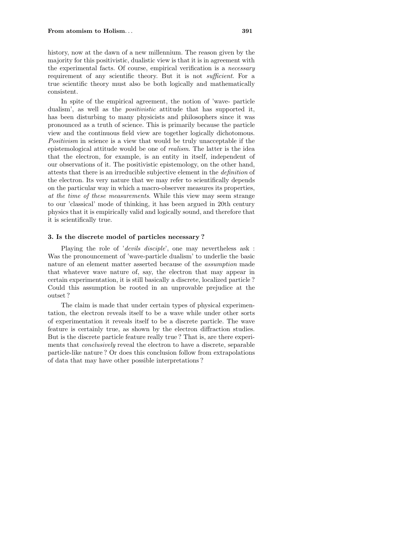history, now at the dawn of a new millennium. The reason given by the majority for this positivistic, dualistic view is that it is in agreement with the experimental facts. Of course, empirical verification is a necessary requirement of any scientific theory. But it is not *sufficient*. For a true scientific theory must also be both logically and mathematically consistent.

In spite of the empirical agreement, the notion of 'wave- particle dualism', as well as the *positivistic* attitude that has supported it, has been disturbing to many physicists and philosophers since it was pronounced as a truth of science. This is primarily because the particle view and the continuous field view are together logically dichotomous. Positivism in science is a view that would be truly unacceptable if the epistemological attitude would be one of realism. The latter is the idea that the electron, for example, is an entity in itself, independent of our observations of it. The positivistic epistemology, on the other hand, attests that there is an irreducible subjective element in the definition of the electron. Its very nature that we may refer to scientifically depends on the particular way in which a macro-observer measures its properties, at the time of these measurements. While this view may seem strange to our 'classical' mode of thinking, it has been argued in 20th century physics that it is empirically valid and logically sound, and therefore that it is scientifically true.

### **3. Is the discrete model of particles necessary ?**

Playing the role of 'devils disciple', one may nevertheless ask: Was the pronouncement of 'wave-particle dualism' to underlie the basic nature of an element matter asserted because of the assumption made that whatever wave nature of, say, the electron that may appear in certain experimentation, it is still basically a discrete, localized particle ? Could this assumption be rooted in an unprovable prejudice at the outset ?

The claim is made that under certain types of physical experimentation, the electron reveals itself to be a wave while under other sorts of experimentation it reveals itself to be a discrete particle. The wave feature is certainly true, as shown by the electron diffraction studies. But is the discrete particle feature really true ? That is, are there experiments that conclusively reveal the electron to have a discrete, separable particle-like nature ? Or does this conclusion follow from extrapolations of data that may have other possible interpretations ?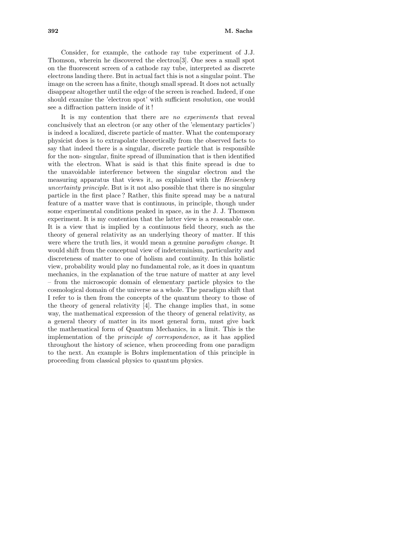Consider, for example, the cathode ray tube experiment of J.J. Thomson, wherein he discovered the electron[3]. One sees a small spot on the fluorescent screen of a cathode ray tube, interpreted as discrete electrons landing there. But in actual fact this is not a singular point. The image on the screen has a finite, though small spread. It does not actually disappear altogether until the edge of the screen is reached. Indeed, if one should examine the 'electron spot' with sufficient resolution, one would see a diffraction pattern inside of it !

It is my contention that there are no experiments that reveal conclusively that an electron (or any other of the 'elementary particles') is indeed a localized, discrete particle of matter. What the contemporary physicist does is to extrapolate theoretically from the observed facts to say that indeed there is a singular, discrete particle that is responsible for the non- singular, finite spread of illumination that is then identified with the electron. What is said is that this finite spread is due to the unavoidable interference between the singular electron and the measuring apparatus that views it, as explained with the Heisenberg uncertainty principle. But is it not also possible that there is no singular particle in the first place ? Rather, this finite spread may be a natural feature of a matter wave that is continuous, in principle, though under some experimental conditions peaked in space, as in the J. J. Thomson experiment. It is my contention that the latter view is a reasonable one. It is a view that is implied by a continuous field theory, such as the theory of general relativity as an underlying theory of matter. If this were where the truth lies, it would mean a genuine paradigm change. It would shift from the conceptual view of indeterminism, particularity and discreteness of matter to one of holism and continuity. In this holistic view, probability would play no fundamental role, as it does in quantum mechanics, in the explanation of the true nature of matter at any level – from the microscopic domain of elementary particle physics to the cosmological domain of the universe as a whole. The paradigm shift that I refer to is then from the concepts of the quantum theory to those of the theory of general relativity [4]. The change implies that, in some way, the mathematical expression of the theory of general relativity, as a general theory of matter in its most general form, must give back the mathematical form of Quantum Mechanics, in a limit. This is the implementation of the principle of correspondence, as it has applied throughout the history of science, when proceeding from one paradigm to the next. An example is Bohrs implementation of this principle in proceeding from classical physics to quantum physics.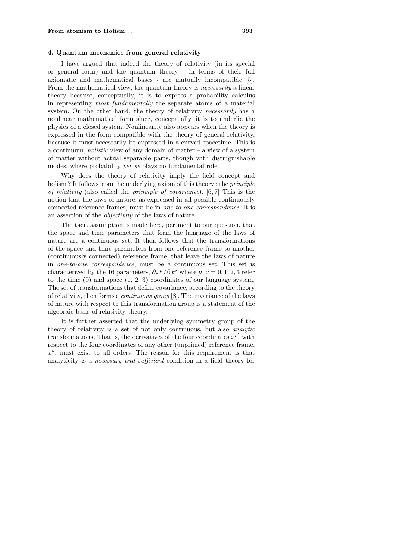### **4. Quantum mechanics from general relativity**

I have argued that indeed the theory of relativity (in its special or general form) and the quantum theory – in terms of their full axiomatic and mathematical bases - are mutually incompatible [5]. From the mathematical view, the quantum theory is *necessarily* a linear theory because, conceptually, it is to express a probability calculus in representing most fundamentally the separate atoms of a material system. On the other hand, the theory of relativity *necessarily* has a nonlinear mathematical form since, conceptually, it is to underlie the physics of a closed system. Nonlinearity also appears when the theory is expressed in the form compatible with the theory of general relativity, because it must necessarily be expressed in a curved spacetime. This is a continuum, *holistic* view of any domain of matter – a view of a system of matter without actual separable parts, though with distinguishable modes, where probability per se plays no fundamental role.

Why does the theory of relativity imply the field concept and holism ? It follows from the underlying axiom of this theory : the *principle* of relativity (also called the principle of covariance). [6*,* 7] This is the notion that the laws of nature, as expressed in all possible continuously connected reference frames, must be in one-to-one correspondence. It is an assertion of the objectivity of the laws of nature.

The tacit assumption is made here, pertinent to our question, that the space and time parameters that form the language of the laws of nature are a continuous set. It then follows that the transformations of the space and time parameters from one reference frame to another (continuously connected) reference frame, that leave the laws of nature in one-to-one correspondence, must be a continuous set. This set is characterized by the 16 parameters,  $\partial x^{\mu}/\partial x^{\nu}$  where  $\mu, \nu = 0, 1, 2, 3$  refer to the time (0) and space (1, 2, 3) coordinates of our language system. The set of transformations that define covariance, according to the theory of relativity, then forms a continuous group [8]. The invariance of the laws of nature with respect to this transformation group is a statement of the algebraic basis of relativity theory.

It is further asserted that the underlying symmetry group of the theory of relativity is a set of not only continuous, but also analytic transformations. That is, the derivatives of the four coordinates  $x^{\mu'}$  with respect to the four coordinates of any other (unprimed) reference frame,  $x^{\nu}$ , must exist to all orders. The reason for this requirement is that analyticity is a necessary and sufficient condition in a field theory for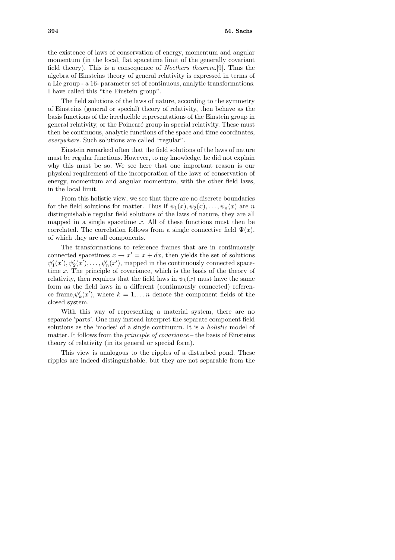the existence of laws of conservation of energy, momentum and angular momentum (in the local, flat spacetime limit of the generally covariant field theory). This is a consequence of Noethers theorem.[9]. Thus the algebra of Einsteins theory of general relativity is expressed in terms of a Lie group - a 16- parameter set of continuous, analytic transformations. I have called this "the Einstein group".

The field solutions of the laws of nature, according to the symmetry of Einsteins (general or special) theory of relativity, then behave as the basis functions of the irreducible representations of the Einstein group in general relativity, or the Poincar´e group in special relativity. These must then be continuous, analytic functions of the space and time coordinates, everywhere. Such solutions are called "regular".

Einstein remarked often that the field solutions of the laws of nature must be regular functions. However, to my knowledge, he did not explain why this must be so. We see here that one important reason is our physical requirement of the incorporation of the laws of conservation of energy, momentum and angular momentum, with the other field laws, in the local limit.

From this holistic view, we see that there are no discrete boundaries for the field solutions for matter. Thus if  $\psi_1(x), \psi_2(x), \ldots, \psi_n(x)$  are *n* distinguishable regular field solutions of the laws of nature, they are all mapped in a single spacetime *x*. All of these functions must then be correlated. The correlation follows from a single connective field  $\Psi(x)$ , of which they are all components.

The transformations to reference frames that are in continuously connected spacetimes  $x \to x' = x + dx$ , then yields the set of solutions  $\psi_1'(x'), \psi_2'(x'), \ldots, \psi_n'(x')$ , mapped in the continuously connected spacetime *x*. The principle of covariance, which is the basis of the theory of relativity, then requires that the field laws in  $\psi_k(x)$  must have the same form as the field laws in a different (continuously connected) reference frame,  $\psi'_k(x')$ , where  $k = 1, \ldots n$  denote the component fields of the closed system.

With this way of representing a material system, there are no separate 'parts'. One may instead interpret the separate component field solutions as the 'modes' of a single continuum. It is a holistic model of matter. It follows from the *principle of covariance* – the basis of Einsteins theory of relativity (in its general or special form).

This view is analogous to the ripples of a disturbed pond. These ripples are indeed distinguishable, but they are not separable from the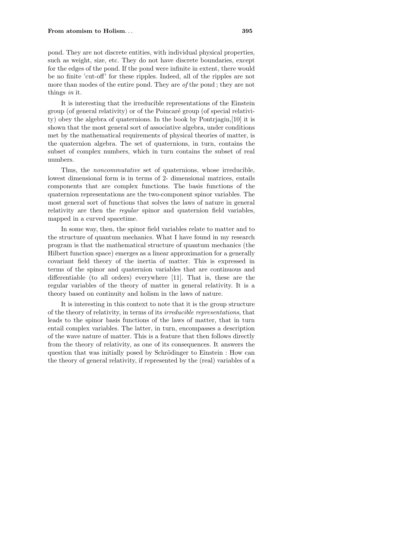#### **From atomism to Holism**... **395**

pond. They are not discrete entities, with individual physical properties, such as weight, size, etc. They do not have discrete boundaries, except for the edges of the pond. If the pond were infinite in extent, there would be no finite 'cut-off' for these ripples. Indeed, all of the ripples are not more than modes of the entire pond. They are of the pond ; they are not things in it.

It is interesting that the irreducible representations of the Einstein group (of general relativity) or of the Poincaré group (of special relativity) obey the algebra of quaternions. In the book by Pontrjagin,[10] it is shown that the most general sort of associative algebra, under conditions met by the mathematical requirements of physical theories of matter, is the quaternion algebra. The set of quaternions, in turn, contains the subset of complex numbers, which in turn contains the subset of real numbers.

Thus, the noncommutative set of quaternions, whose irreducible, lowest dimensional form is in terms of 2- dimensional matrices, entails components that are complex functions. The basis functions of the quaternion representations are the two-component spinor variables. The most general sort of functions that solves the laws of nature in general relativity are then the regular spinor and quaternion field variables, mapped in a curved spacetime.

In some way, then, the spinor field variables relate to matter and to the structure of quantum mechanics. What I have found in my research program is that the mathematical structure of quantum mechanics (the Hilbert function space) emerges as a linear approximation for a generally covariant field theory of the inertia of matter. This is expressed in terms of the spinor and quaternion variables that are continuous and differentiable (to all orders) everywhere [11]. That is, these are the regular variables of the theory of matter in general relativity. It is a theory based on continuity and holism in the laws of nature.

It is interesting in this context to note that it is the group structure of the theory of relativity, in terms of its irreducible representations, that leads to the spinor basis functions of the laws of matter, that in turn entail complex variables. The latter, in turn, encompasses a description of the wave nature of matter. This is a feature that then follows directly from the theory of relativity, as one of its consequences. It answers the question that was initially posed by Schrödinger to Einstein : How can the theory of general relativity, if represented by the (real) variables of a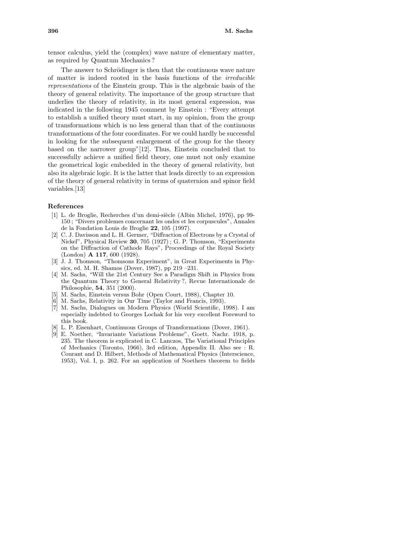tensor calculus, yield the (complex) wave nature of elementary matter, as required by Quantum Mechanics ?

The answer to Schrödinger is then that the continuous wave nature of matter is indeed rooted in the basis functions of the irreducible representations of the Einstein group. This is the algebraic basis of the theory of general relativity. The importance of the group structure that underlies the theory of relativity, in its most general expression, was indicated in the following 1945 comment by Einstein : "Every attempt to establish a unified theory must start, in my opinion, from the group of transformations which is no less general than that of the continuous transformations of the four coordinates. For we could hardly be successful in looking for the subsequent enlargement of the group for the theory based on the narrower group"[12]. Thus, Einstein concluded that to successfully achieve a unified field theory, one must not only examine the geometrical logic embedded in the theory of general relativity, but also its algebraic logic. It is the latter that leads directly to an expression of the theory of general relativity in terms of quaternion and spinor field variables.[13]

#### **References**

- [1] L. de Broglie, Recherches d'un demi-siècle (Albin Michel, 1976), pp 99-150 ; "Divers problemes concernant les ondes et les corpuscules", Annales de la Fondation Louis de Broglie **22**, 105 (1997).
- [2] C. J. Davisson and L. H. Germer, "Diffraction of Electrons by a Crystal of Nickel", Physical Review **30**, 705 (1927) ; G. P. Thomson, "Experiments on the Diffraction of Cathode Rays", Proceedings of the Royal Society (London) **A 117**, 600 (1928).
- [3] J. J. Thomson, "Thomsons Experiment", in Great Experiments in Physics, ed. M. H. Shamos (Dover, 1987), pp 219 –231.
- [4] M. Sachs, "Will the 21st Century See a Paradigm Shift in Physics from the Quantum Theory to General Relativity ?, Revue Internationale de Philosophie, **54**, 351 (2000).
- [5] M. Sachs, Einstein versus Bohr (Open Court, 1988), Chapter 10.
- [6] M. Sachs, Relativity in Our Time (Taylor and Francis, 1993).
- [7] M. Sachs, Dialogues on Modern Physics (World Scientific, 1998). I am especially indebted to Georges Lochak for his very excellent Foreword to this book.
- L. P. Eisenhart, Continuous Groups of Transformations (Dover, 1961).
- [9] E. Noether, "Invariante Variations Probleme", Goett. Nachr. 1918, p. 235. The theorem is explicated in C. Lanczos, The Variational Principles of Mechanics (Toronto, 1966), 3rd edition, Appendix II. Also see : R. Courant and D. Hilbert, Methods of Mathematical Physics (Interscience, 1953), Vol. I, p. 262. For an application of Noethers theorem to fields